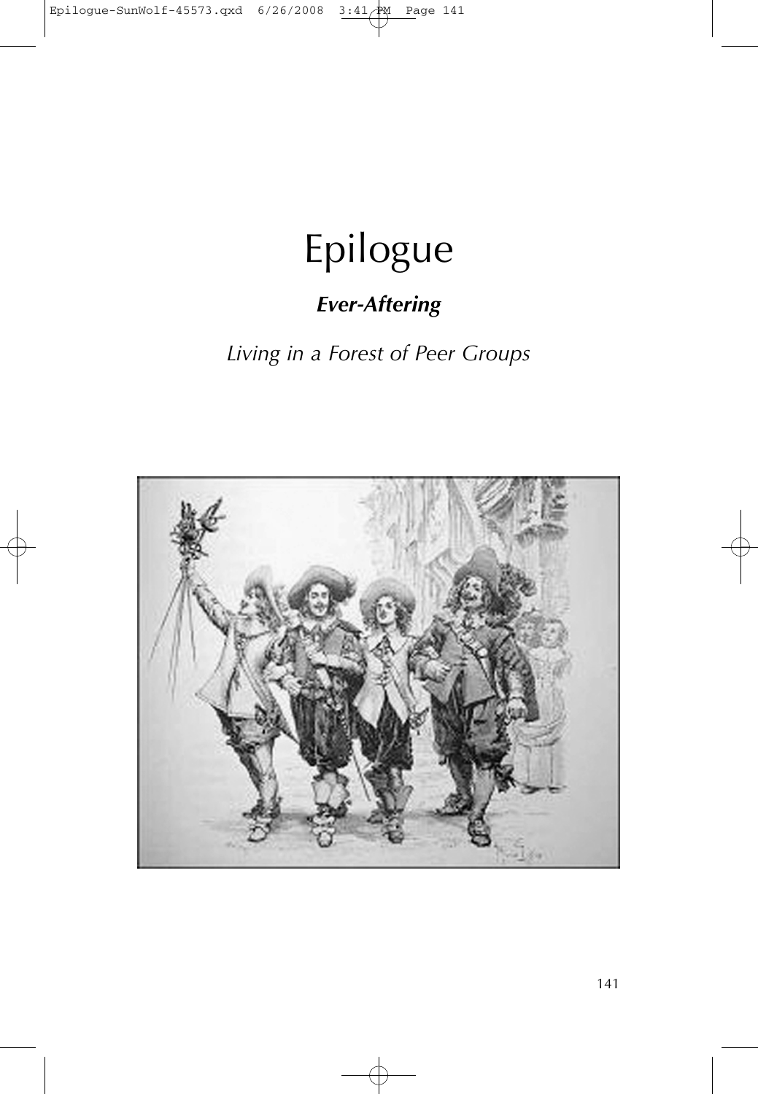## Epilogue

## *Ever-Aftering*

*Living in a Forest of Peer Groups*



141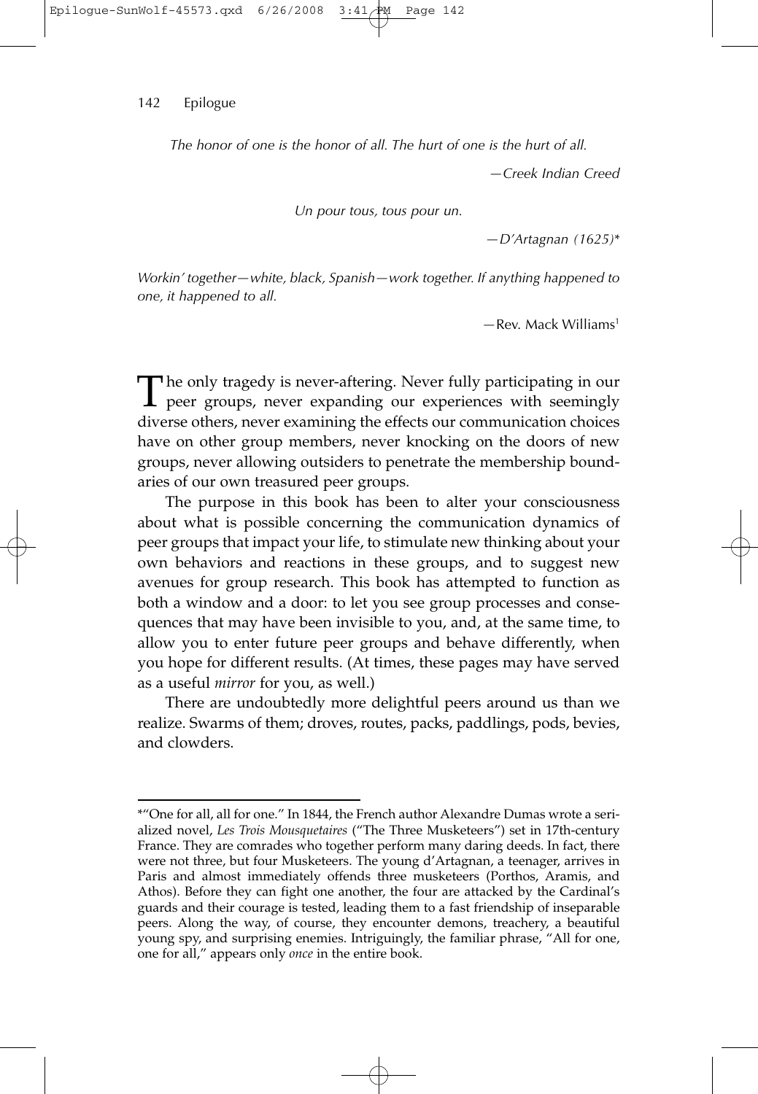## 142 Epilogue

*The honor of one is the honor of all. The hurt of one is the hurt of all.*

*—Creek Indian Creed*

*Un pour tous, tous pour un.*

*—D'Artagnan (1625)*\*

*Workin' together—white, black, Spanish—work together. If anything happened to one, it happened to all.*

*—*Rev. Mack Williams1

The only tragedy is never-aftering. Never fully participating in our peer groups, never expanding our experiences with seemingly diverse others, never examining the effects our communication choices have on other group members, never knocking on the doors of new groups, never allowing outsiders to penetrate the membership boundaries of our own treasured peer groups.

The purpose in this book has been to alter your consciousness about what is possible concerning the communication dynamics of peer groups that impact your life, to stimulate new thinking about your own behaviors and reactions in these groups, and to suggest new avenues for group research. This book has attempted to function as both a window and a door: to let you see group processes and consequences that may have been invisible to you, and, at the same time, to allow you to enter future peer groups and behave differently, when you hope for different results. (At times, these pages may have served as a useful *mirror* for you, as well.)

There are undoubtedly more delightful peers around us than we realize. Swarms of them; droves, routes, packs, paddlings, pods, bevies, and clowders.

<sup>\*&</sup>quot;One for all, all for one." In 1844, the French author Alexandre Dumas wrote a serialized novel, *Les Trois Mousquetaires* ("The Three Musketeers") set in 17th-century France. They are comrades who together perform many daring deeds. In fact, there were not three, but four Musketeers. The young d'Artagnan, a teenager, arrives in Paris and almost immediately offends three musketeers (Porthos, Aramis, and Athos). Before they can fight one another, the four are attacked by the Cardinal's guards and their courage is tested, leading them to a fast friendship of inseparable peers. Along the way, of course, they encounter demons, treachery, a beautiful young spy, and surprising enemies. Intriguingly, the familiar phrase, "All for one, one for all," appears only *once* in the entire book.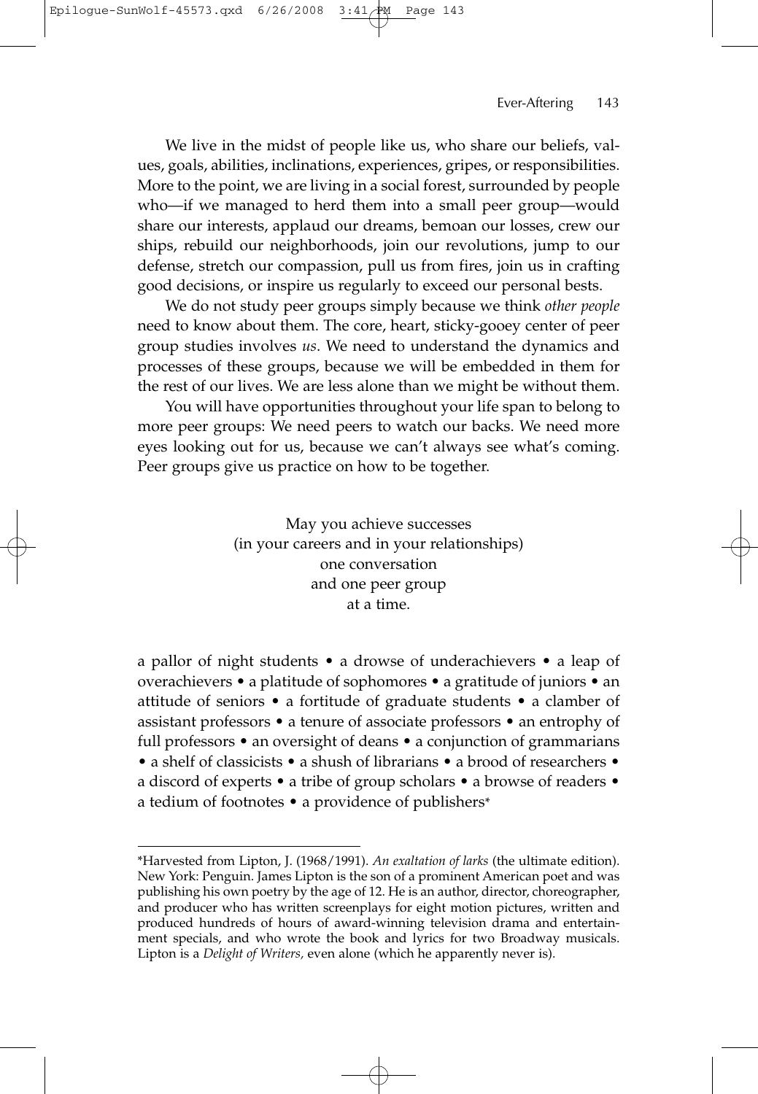We live in the midst of people like us, who share our beliefs, values, goals, abilities, inclinations, experiences, gripes, or responsibilities. More to the point, we are living in a social forest, surrounded by people who—if we managed to herd them into a small peer group—would share our interests, applaud our dreams, bemoan our losses, crew our ships, rebuild our neighborhoods, join our revolutions, jump to our defense, stretch our compassion, pull us from fires, join us in crafting good decisions, or inspire us regularly to exceed our personal bests.

We do not study peer groups simply because we think *other people* need to know about them. The core, heart, sticky-gooey center of peer group studies involves *us*. We need to understand the dynamics and processes of these groups, because we will be embedded in them for the rest of our lives. We are less alone than we might be without them.

You will have opportunities throughout your life span to belong to more peer groups: We need peers to watch our backs. We need more eyes looking out for us, because we can't always see what's coming. Peer groups give us practice on how to be together.

> May you achieve successes (in your careers and in your relationships) one conversation and one peer group at a time.

a pallor of night students • a drowse of underachievers • a leap of overachievers • a platitude of sophomores • a gratitude of juniors • an attitude of seniors • a fortitude of graduate students • a clamber of assistant professors • a tenure of associate professors • an entrophy of full professors • an oversight of deans • a conjunction of grammarians • a shelf of classicists • a shush of librarians • a brood of researchers • a discord of experts • a tribe of group scholars • a browse of readers • a tedium of footnotes • a providence of publishers\*

<sup>\*</sup>Harvested from Lipton, J. (1968/1991). *An exaltation of larks* (the ultimate edition). New York: Penguin. James Lipton is the son of a prominent American poet and was publishing his own poetry by the age of 12. He is an author, director, choreographer, and producer who has written screenplays for eight motion pictures, written and produced hundreds of hours of award-winning television drama and entertainment specials, and who wrote the book and lyrics for two Broadway musicals. Lipton is a *Delight of Writers,* even alone (which he apparently never is).